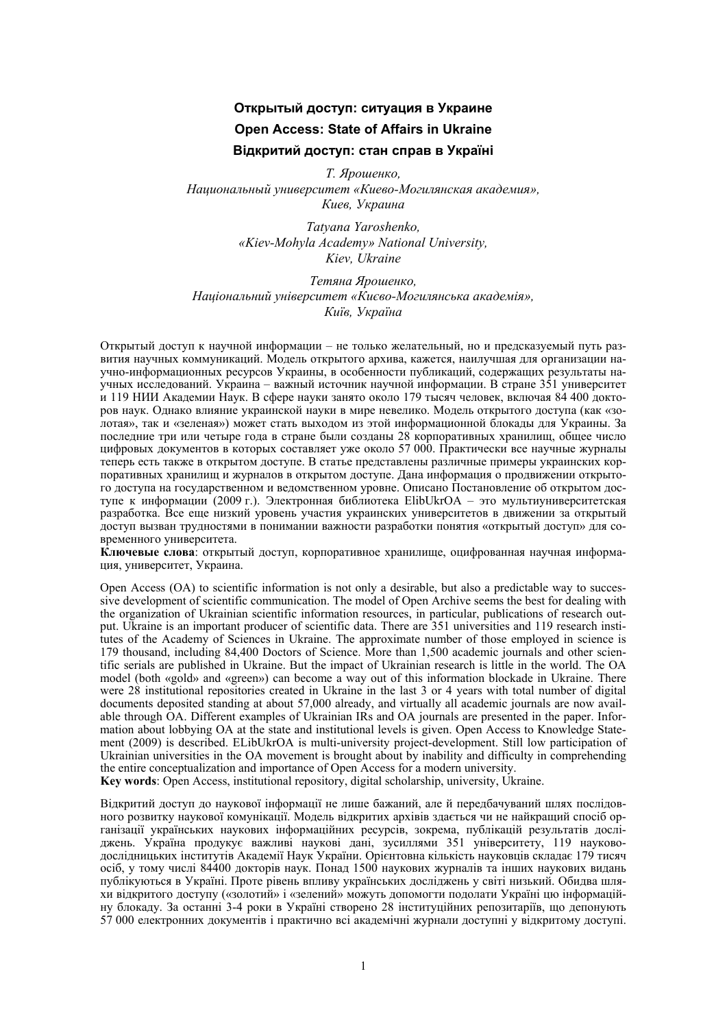## **Открытый доступ: ситуация в Украине Open Access: State of Affairs in Ukraine Відкритий доступ: стан справ в Україні**

*Т. Ярошенко, Национальный университет «Киево-Могилянская академия», Киев, Украина* 

> *Tatyana Yaroshenko, «Kiev-Mohyla Academy» National University, Kiev, Ukraine*

*Тетяна Ярошенко, Національний університет «Києво-Могилянська академія», Київ, Україна* 

Открытый доступ к научной информации – не только желательный, но и предсказуемый путь развития научных коммуникаций. Модель открытого архива, кажется, наилучшая для организации научно-информационных ресурсов Украины, в особенности публикаций, содержащих результаты научных исследований. Украина – важный источник научной информации. В стране 351 университет и 119 НИИ Академии Наук. В сфере науки занято около 179 тысяч человек, включая 84 400 докторов наук. Однако влияние украинской науки в мире невелико. Модель открытого доступа (как «золотая», так и «зеленая») может стать выходом из этой информационной блокады для Украины. За последние три или четыре года в стране были созданы 28 корпоративных хранилищ, общее число цифровых документов в которых составляет уже около 57 000. Практически все научные журналы теперь есть также в открытом доступе. В статье представлены различные примеры украинских корпоративных хранилищ и журналов в открытом доступе. Дана информация о продвижении открытого доступа на государственном и ведомственном уровне. Описано Постановление об открытом доступе к информации (2009 г.). Электронная библиотека ElibUkrOA – это мультиуниверситетская разработка. Все еще низкий уровень участия украинских университетов в движении за открытый доступ вызван трудностями в понимании важности разработки понятия «открытый доступ» для современного университета.

**Ключевые слова**: открытый доступ, корпоративное хранилище, оцифрованная научная информация, университет, Украина.

Open Access (OA) to scientific information is not only a desirable, but also a predictable way to successive development of scientific communication. The model of Open Archive seems the best for dealing with the organization of Ukrainian scientific information resources, in particular, publications of research output. Ukraine is an important producer of scientific data. There are 351 universities and 119 research institutes of the Academy of Sciences in Ukraine. The approximate number of those employed in science is 179 thousand, including 84,400 Doctors of Science. More than 1,500 academic journals and other scientific serials are published in Ukraine. But the impact of Ukrainian research is little in the world. The OA model (both «gold» and «green») can become a way out of this information blockade in Ukraine. There were 28 institutional repositories created in Ukraine in the last 3 or 4 years with total number of digital documents deposited standing at about 57,000 already, and virtually all academic journals are now available through OA. Different examples of Ukrainian IRs and OA journals are presented in the paper. Information about lobbying OA at the state and institutional levels is given. Open Access to Knowledge Statement (2009) is described. ELibUkrOA is multi-university project-development. Still low participation of Ukrainian universities in the OA movement is brought about by inability and difficulty in comprehending the entire conceptualization and importance of Open Access for a modern university.

**Key words**: Open Access, institutional repository, digital scholarship, university, Ukraine.

Відкритий доступ до наукової інформації не лише бажаний, але й передбачуваний шлях послідовного розвитку наукової комунікації. Модель відкритих архівів здається чи не найкращий спосіб організації українських наукових інформаційних ресурсів, зокрема, публікацій результатів досліджень. Україна продукує важливі наукові дані, зусиллями 351 університету, 119 науководослідницьких інститутів Академії Наук України. Орієнтовна кількість науковців складає 179 тисяч осіб, у тому числі 84400 докторів наук. Понад 1500 наукових журналів та інших наукових видань публікуються в Україні. Проте рівень впливу українських досліджень у світі низький. Обидва шляхи відкритого доступу («золотий» і «зелений» можуть допомогти подолати Україні цю інформаційну блокаду. За останні 3-4 роки в Україні створено 28 інституційних репозитаріїв, що депонують 57 000 електронних документів і практично всі академічні журнали доступні у відкритому доступі.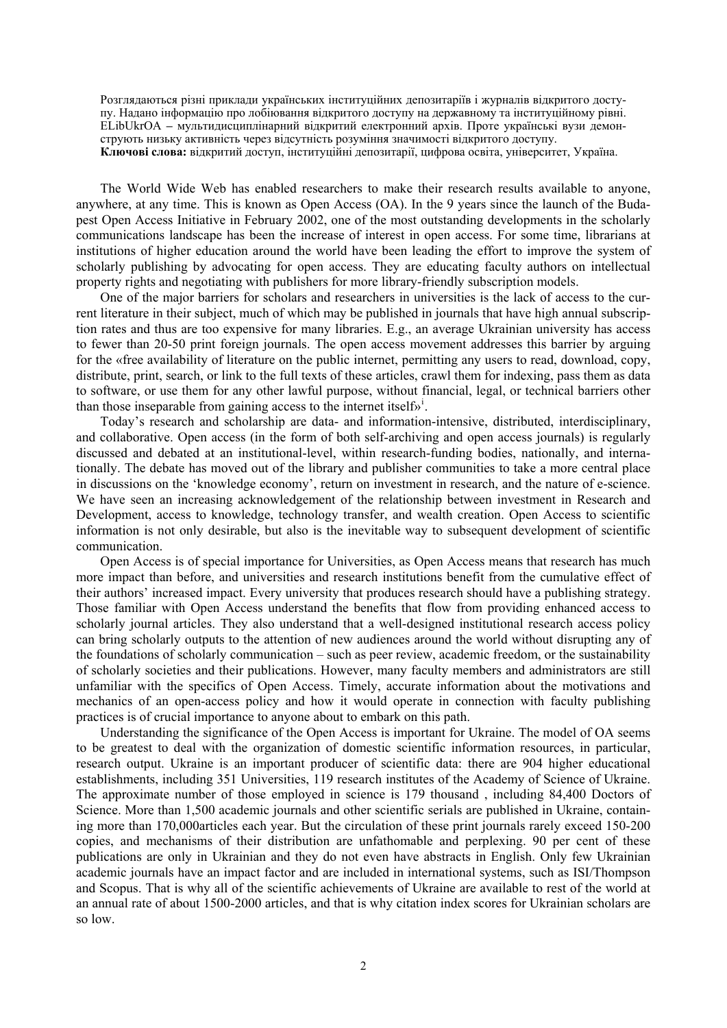Розглядаються різні приклади українських інституційних депозитаріїв і журналів відкритого доступу. Надано інформацію про лобіювання відкритого доступу на державному та інституційному рівні. ELibUkrOA **–** мультидисциплінарний відкритий електронний архів. Проте українські вузи демонструють низьку активність через відсутність розуміння значимості відкритого доступу. **Ключові слова:** відкритий доступ, інституційні депозитарії, цифрова освіта, університет, Україна.

The World Wide Web has enabled researchers to make their research results available to anyone, anywhere, at any time. This is known as Open Access (OA). In the 9 years since the launch of the Budapest Open Access Initiative in February 2002, one of the most outstanding developments in the scholarly communications landscape has been the increase of interest in open access. For some time, librarians at institutions of higher education around the world have been leading the effort to improve the system of scholarly publishing by advocating for open access. They are educating faculty authors on intellectual property rights and negotiating with publishers for more library-friendly subscription models.

One of the major barriers for scholars and researchers in universities is the lack of access to the current literature in their subject, much of which may be published in journals that have high annual subscription rates and thus are too expensive for many libraries. E.g., an average Ukrainian university has access to fewer than 20-50 print foreign journals. The open access movement addresses this barrier by arguing for the «free availability of literature on the public internet, permitting any users to read, download, copy, distribute, print, search, or link to the full texts of these articles, crawl them for indexing, pass them as data to software, or use them for any other lawful purpose, without financial, legal, or technical barriers other than those [i](#page-5-0)nseparable from gaining access to the internet itselfs<sup>i</sup>.

Today's research and scholarship are data- and information-intensive, distributed, interdisciplinary, and collaborative. Open access (in the form of both self-archiving and open access journals) is regularly discussed and debated at an institutional-level, within research-funding bodies, nationally, and internationally. The debate has moved out of the library and publisher communities to take a more central place in discussions on the 'knowledge economy', return on investment in research, and the nature of e-science. We have seen an increasing acknowledgement of the relationship between investment in Research and Development, access to knowledge, technology transfer, and wealth creation. Open Access to scientific information is not only desirable, but also is the inevitable way to subsequent development of scientific communication.

Open Access is of special importance for Universities, as Open Access means that research has much more impact than before, and universities and research institutions benefit from the cumulative effect of their authors' increased impact. Every university that produces research should have a publishing strategy. Those familiar with Open Access understand the benefits that flow from providing enhanced access to scholarly journal articles. They also understand that a well-designed institutional research access policy can bring scholarly outputs to the attention of new audiences around the world without disrupting any of the foundations of scholarly communication – such as peer review, academic freedom, or the sustainability of scholarly societies and their publications. However, many faculty members and administrators are still unfamiliar with the specifics of Open Access. Timely, accurate information about the motivations and mechanics of an open-access policy and how it would operate in connection with faculty publishing practices is of crucial importance to anyone about to embark on this path.

Understanding the significance of the Open Access is important for Ukraine. The model of OA seems to be greatest to deal with the organization of domestic scientific information resources, in particular, research output. Ukraine is an important producer of scientific data: there are 904 higher educational establishments, including 351 Universities, 119 research institutes of the Academy of Science of Ukraine. The approximate number of those employed in science is 179 thousand , including 84,400 Doctors of Science. More than 1,500 academic journals and other scientific serials are published in Ukraine, containing more than 170,000articles each year. But the circulation of these print journals rarely exceed 150-200 copies, and mechanisms of their distribution are unfathomable and perplexing. 90 per cent of these publications are only in Ukrainian and they do not even have abstracts in English. Only few Ukrainian academic journals have an impact factor and are included in international systems, such as ISI/Thompson and Scopus. That is why all of the scientific achievements of Ukraine are available to rest of the world at an annual rate of about 1500-2000 articles, and that is why citation index scores for Ukrainian scholars are so low.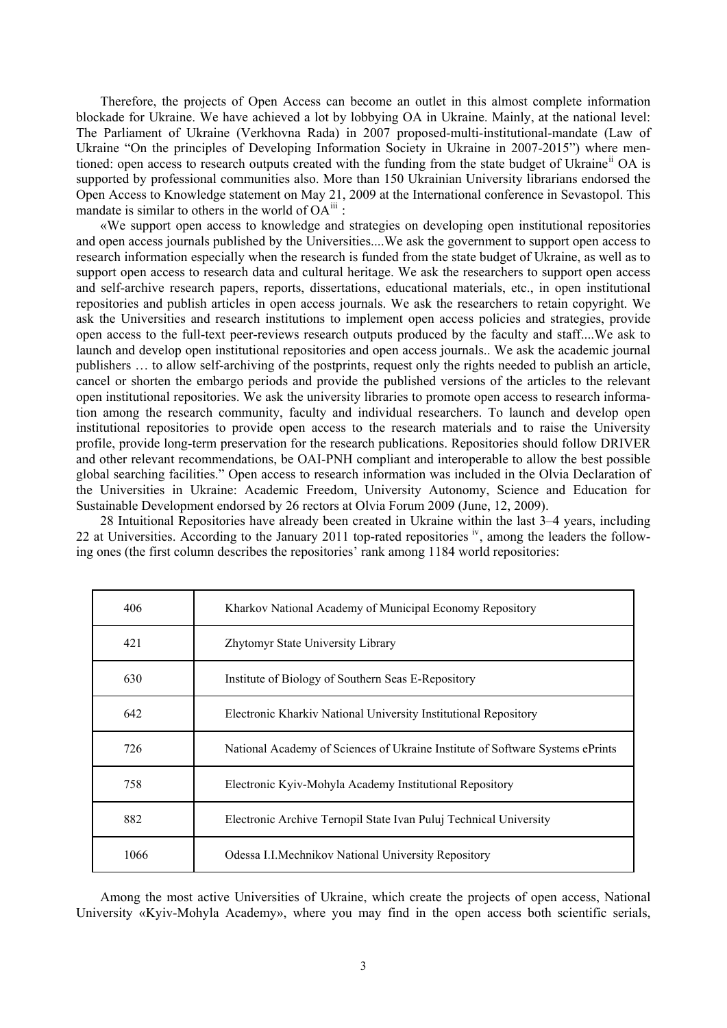Therefore, the projects of Open Access can become an outlet in this almost complete information blockade for Ukraine. We have achieved a lot by lobbying OA in Ukraine. Mainly, at the national level: The Parliament of Ukraine (Verkhovna Rada) in 2007 proposed-multi-institutional-mandate (Law of Ukraine "On the principles of Developing Information Society in Ukraine in 2007-2015") where mentioned: open access to research outputs created with the funding from the state budget of Ukraine<sup>n</sup> OA is supported by professional communities also. More than 150 Ukrainian University librarians endorsed the Open Access to Knowledge statement on May 21, 2009 at the International conference in Sevastopol. This mandate is similar to others in the world of  $OA^{iii}$  $OA^{iii}$  $OA^{iii}$ :

«We support open access to knowledge and strategies on developing open institutional repositories and open access journals published by the Universities....We ask the government to support open access to research information especially when the research is funded from the state budget of Ukraine, as well as to support open access to research data and cultural heritage. We ask the researchers to support open access and self-archive research papers, reports, dissertations, educational materials, etc., in open institutional repositories and publish articles in open access journals. We ask the researchers to retain copyright. We ask the Universities and research institutions to implement open access policies and strategies, provide open access to the full-text peer-reviews research outputs produced by the faculty and staff....We ask to launch and develop open institutional repositories and open access journals.. We ask the academic journal publishers … to allow self-archiving of the postprints, request only the rights needed to publish an article, cancel or shorten the embargo periods and provide the published versions of the articles to the relevant open institutional repositories. We ask the university libraries to promote open access to research information among the research community, faculty and individual researchers. To launch and develop open institutional repositories to provide open access to the research materials and to raise the University profile, provide long-term preservation for the research publications. Repositories should follow DRIVER and other relevant recommendations, be OAI-PNH compliant and interoperable to allow the best possible global searching facilities." Open access to research information was included in the Olvia Declaration of the Universities in Ukraine: Academic Freedom, University Autonomy, Science and Education for Sustainable Development endorsed by 26 rectors at Olvia Forum 2009 (June, 12, 2009).

28 Intuitional Repositories have already been created in Ukraine within the last 3–4 years, including 22 at Un[iv](#page-5-3)ersities. According to the January 2011 top-rated repositories iv, among the leaders the following ones (the first column describes the repositories' rank among 1184 world repositories:

| 406  | Kharkov National Academy of Municipal Economy Repository                      |
|------|-------------------------------------------------------------------------------|
| 421  | Zhytomyr State University Library                                             |
| 630  | Institute of Biology of Southern Seas E-Repository                            |
| 642  | Electronic Kharkiv National University Institutional Repository               |
| 726  | National Academy of Sciences of Ukraine Institute of Software Systems ePrints |
| 758  | Electronic Kyiv-Mohyla Academy Institutional Repository                       |
| 882  | Electronic Archive Ternopil State Ivan Puluj Technical University             |
| 1066 | Odessa I.I. Mechnikov National University Repository                          |

Among the most active Universities of Ukraine, which create the projects of open access, National University «Kyiv-Mohyla Academy», where you may find in the open access both scientific serials,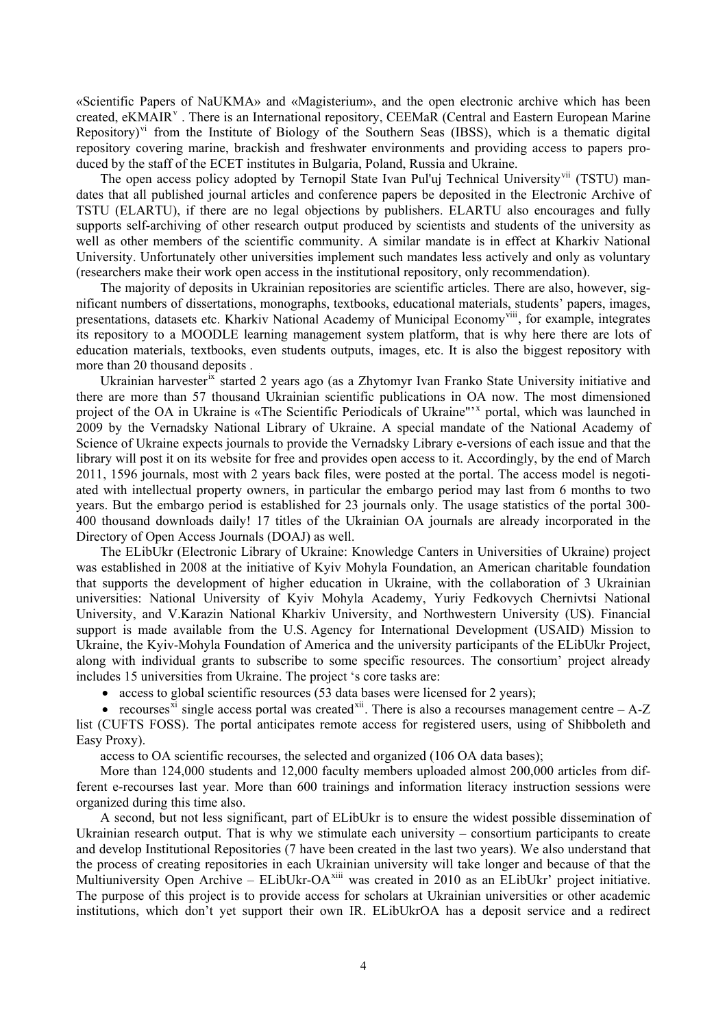«Scientific Papers of NaUKMA» and «Magisterium», and the open electronic archive which has been created, eKMAIR<sup>V</sup>. There is an International repository, CEEMaR (Central and Eastern European Marine Repository)<sup>[vi](#page-5-5)</sup> from the Institute of Biology of the Southern Seas (IBSS), which is a thematic digital repository covering marine, brackish and freshwater environments and providing access to papers produced by the staff of the ECET institutes in Bulgaria, Poland, Russia and Ukraine.

The open access policy adopted by Ternopil State Ivan Pul'uj Technical University<sup>[vii](#page-5-6)</sup> (TSTU) mandates that all published journal articles and conference papers be deposited in the Electronic Archive of TSTU (ELARTU), if there are no legal objections by publishers. ELARTU also encourages and fully supports self-archiving of other research output produced by scientists and students of the university as well as other members of the scientific community. A similar mandate is in effect at Kharkiv National University. Unfortunately other universities implement such mandates less actively and only as voluntary (researchers make their work open access in the institutional repository, only recommendation).

The majority of deposits in Ukrainian repositories are scientific articles. There are also, however, significant numbers of dissertations, monographs, textbooks, educational materials, students' papers, images, presentations, datasets etc. Kharkiv National Academy of Municipal Economy<sup>[viii](#page-5-7)</sup>, for example, integrates its repository to a MOODLE learning management system platform, that is why here there are lots of education materials, textbooks, even students outputs, images, etc. It is also the biggest repository with more than 20 thousand deposits .

Ukrainian harvester<sup>[ix](#page-5-8)</sup> started 2 years ago (as a Zhytomyr Ivan Franko State University initiative and there are more than 57 thousand Ukrainian scientific publications in OA now. The most dimensioned project of the OA in Ukraine is «The Scientific Periodicals of Ukraine"<sup>'[x](#page-5-9)</sup> portal, which was launched in 2009 by the Vernadsky National Library of Ukraine. A special mandate of the National Academy of Science of Ukraine expects journals to provide the Vernadsky Library e-versions of each issue and that the library will post it on its website for free and provides open access to it. Accordingly, by the end of March 2011, 1596 journals, most with 2 years back files, were posted at the portal. The access model is negotiated with intellectual property owners, in particular the embargo period may last from 6 months to two years. But the embargo period is established for 23 journals only. The usage statistics of the portal 300- 400 thousand downloads daily! 17 titles of the Ukrainian OA journals are already incorporated in the Directory of Open Access Journals (DOAJ) as well.

The ELibUkr (Electronic Library of Ukraine: Knowledge Canters in Universities of Ukraine) project was established in 2008 at the initiative of Kyiv Mohyla Foundation, an American charitable foundation that supports the development of higher education in Ukraine, with the collaboration of 3 Ukrainian universities: National University of Kyiv Mohyla Academy, [Yuriy Fedkovych Chernivtsi National](http://www.chnu.edu.ua/index.php?page=en)  [University,](http://www.chnu.edu.ua/index.php?page=en) and [V.Karazin National Kharkiv University, a](http://www.univer.kharkov.ua/en/)nd Northwestern University (US). Financial support is made available from the [U.S. Agency for International Development](http://www.usaid.gov/about_usaid/) (USAID) Mission to Ukraine, the Kyiv-Mohyla Foundation of America and the university participants of the ELibUkr Project, along with individual grants to subscribe to some specific resources. The consortium' project already includes 15 universities from Ukraine. The project 's core tasks are:

• access to global scientific resources (53 data bases were licensed for 2 years);

• recourses<sup>[xi](#page-5-10)</sup> single access portal was created<sup>[xii](#page-5-11)</sup>. There is also a recourses management centre  $-$  A-Z list (CUFTS FOSS). The portal anticipates remote access for registered users, using of Shibboleth and Easy Proxy).

access to OA scientific recourses, the selected and organized (106 OA data bases);

More than 124,000 students and 12,000 faculty members uploaded almost 200,000 articles from different e-recourses last year. More than 600 trainings and information literacy instruction sessions were organized during this time also.

A second, but not less significant, part of ELibUkr is to ensure the widest possible dissemination of Ukrainian research output. That is why we stimulate each university – consortium participants to create and develop Institutional Repositories (7 have been created in the last two years). We also understand that the process of creating repositories in each Ukrainian university will take longer and because of that the Multiuniversity Open Archive – ELibUkr-OA<sup>[xiii](#page-5-12)</sup> was created in 2010 as an ELibUkr' project initiative. The purpose of this project is to provide access for scholars at Ukrainian universities or other academic institutions, which don't yet support their own IR. ELibUkrOA has a deposit service and a redirect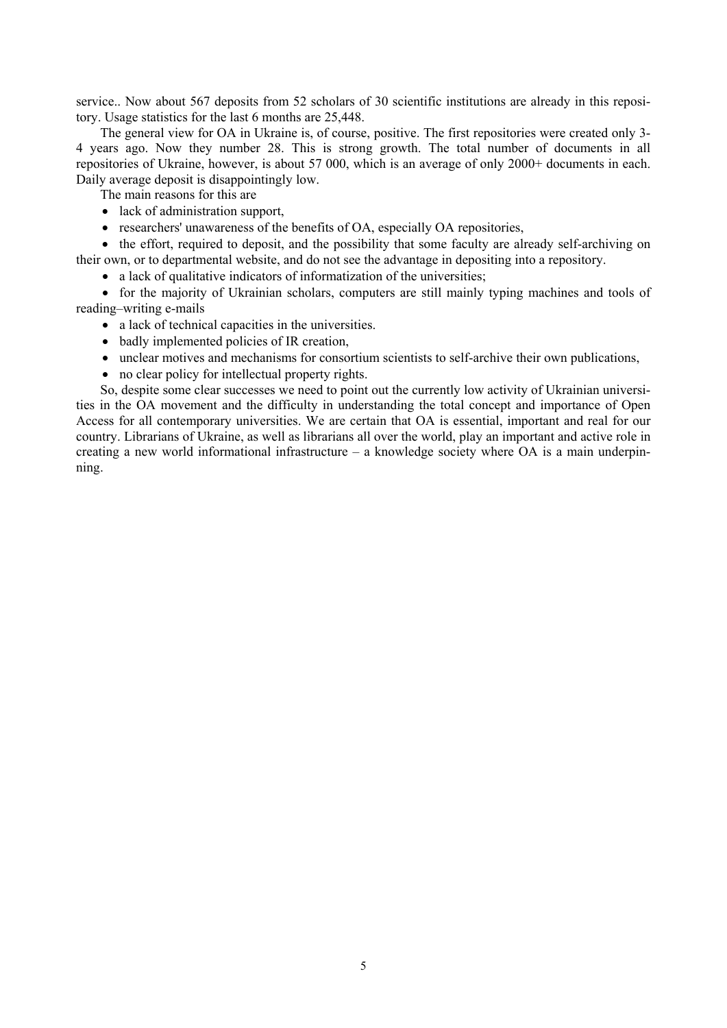service.. Now about 567 deposits from 52 scholars of 30 scientific institutions are already in this repository. Usage statistics for the last 6 months are 25,448.

The general view for OA in Ukraine is, of course, positive. The first repositories were created only 3- 4 years ago. Now they number 28. This is strong growth. The total number of documents in all repositories of Ukraine, however, is about 57 000, which is an average of only 2000+ documents in each. Daily average deposit is disappointingly low.

The main reasons for this are

- lack of administration support,
- researchers' unawareness of the benefits of OA, especially OA repositories,

• the effort, required to deposit, and the possibility that some faculty are already self-archiving on their own, or to departmental website, and do not see the advantage in depositing into a repository.

• a lack of qualitative indicators of informatization of the universities;

 for the majority of Ukrainian scholars, computers are still mainly typing machines and tools of reading–writing e-mails

- a lack of technical capacities in the universities.
- badly implemented policies of IR creation,
- unclear motives and mechanisms for consortium scientists to self-archive their own publications,
- no clear policy for intellectual property rights.

So, despite some clear successes we need to point out the currently low activity of Ukrainian universities in the OA movement and the difficulty in understanding the total concept and importance of Open Access for all contemporary universities. We are certain that OA is essential, important and real for our country. Librarians of Ukraine, as well as librarians all over the world, play an important and active role in creating a new world informational infrastructure – a knowledge society where OA is a main underpinning.